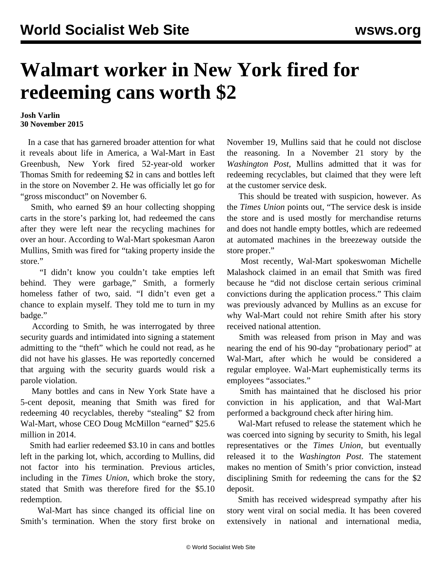## **Walmart worker in New York fired for redeeming cans worth \$2**

## **Josh Varlin 30 November 2015**

 In a case that has garnered broader attention for what it reveals about life in America, a Wal-Mart in East Greenbush, New York fired 52-year-old worker Thomas Smith for redeeming \$2 in cans and bottles left in the store on November 2. He was officially let go for "gross misconduct" on November 6.

 Smith, who earned \$9 an hour collecting shopping carts in the store's parking lot, had redeemed the cans after they were left near the recycling machines for over an hour. According to Wal-Mart spokesman Aaron Mullins, Smith was fired for "taking property inside the store."

 "I didn't know you couldn't take empties left behind. They were garbage," Smith, a formerly homeless father of two, said. "I didn't even get a chance to explain myself. They told me to turn in my badge."

 According to Smith, he was interrogated by three security guards and intimidated into signing a statement admitting to the "theft" which he could not read, as he did not have his glasses. He was reportedly concerned that arguing with the security guards would risk a parole violation.

 Many bottles and cans in New York State have a 5-cent deposit, meaning that Smith was fired for redeeming 40 recyclables, thereby "stealing" \$2 from Wal-Mart, whose CEO Doug McMillon "earned" \$25.6 million in 2014.

 Smith had earlier redeemed \$3.10 in cans and bottles left in the parking lot, which, according to Mullins, did not factor into his termination. Previous articles, including in the *Times Union*, which broke the story, stated that Smith was therefore fired for the \$5.10 redemption.

 Wal-Mart has since changed its official line on Smith's termination. When the story first broke on November 19, Mullins said that he could not disclose the reasoning. In a November 21 story by the *Washington Post*, Mullins admitted that it was for redeeming recyclables, but claimed that they were left at the customer service desk.

 This should be treated with suspicion, however. As the *Times Union* points out, "The service desk is inside the store and is used mostly for merchandise returns and does not handle empty bottles, which are redeemed at automated machines in the breezeway outside the store proper."

 Most recently, Wal-Mart spokeswoman Michelle Malashock claimed in an email that Smith was fired because he "did not disclose certain serious criminal convictions during the application process." This claim was previously advanced by Mullins as an excuse for why Wal-Mart could not rehire Smith after his story received national attention.

 Smith was released from prison in May and was nearing the end of his 90-day "probationary period" at Wal-Mart, after which he would be considered a regular employee. Wal-Mart euphemistically terms its employees "associates."

 Smith has maintained that he disclosed his prior conviction in his application, and that Wal-Mart performed a background check after hiring him.

 Wal-Mart refused to release the statement which he was coerced into signing by security to Smith, his legal representatives or the *Times Union*, but eventually released it to the *Washington Post*. The statement makes no mention of Smith's prior conviction, instead disciplining Smith for redeeming the cans for the \$2 deposit.

 Smith has received widespread sympathy after his story went viral on social media. It has been covered extensively in national and international media,